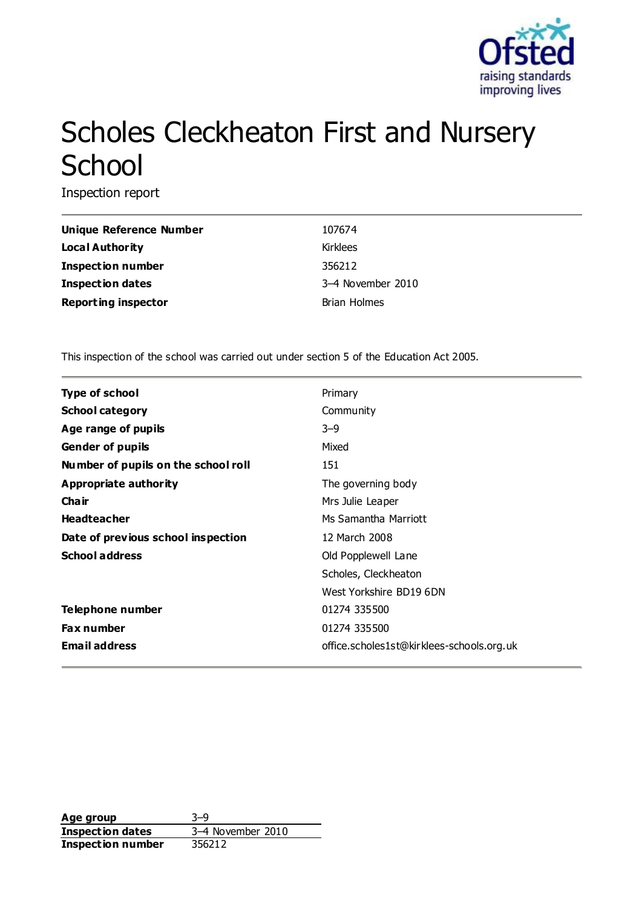

# Scholes Cleckheaton First and Nursery School

Inspection report

| Unique Reference Number    | 107674              |
|----------------------------|---------------------|
| <b>Local Authority</b>     | Kirklees            |
| <b>Inspection number</b>   | 356212              |
| <b>Inspection dates</b>    | 3-4 November 2010   |
| <b>Reporting inspector</b> | <b>Brian Holmes</b> |

This inspection of the school was carried out under section 5 of the Education Act 2005.

| <b>Type of school</b>               | Primary                                   |
|-------------------------------------|-------------------------------------------|
| <b>School category</b>              | Community                                 |
| Age range of pupils                 | $3 - 9$                                   |
| <b>Gender of pupils</b>             | Mixed                                     |
| Number of pupils on the school roll | 151                                       |
| Appropriate authority               | The governing body                        |
| Cha ir                              | Mrs Julie Leaper                          |
| <b>Headteacher</b>                  | Ms Samantha Marriott                      |
| Date of previous school inspection  | 12 March 2008                             |
| <b>School address</b>               | Old Popplewell Lane                       |
|                                     | Scholes, Cleckheaton                      |
|                                     | West Yorkshire BD19 6DN                   |
| Telephone number                    | 01274 335500                              |
| <b>Fax number</b>                   | 01274 335500                              |
| <b>Email address</b>                | office.scholes1st@kirklees-schools.org.uk |

**Age group** 3–9 **Inspection dates** 3–4 November 2010 **Inspection number** 356212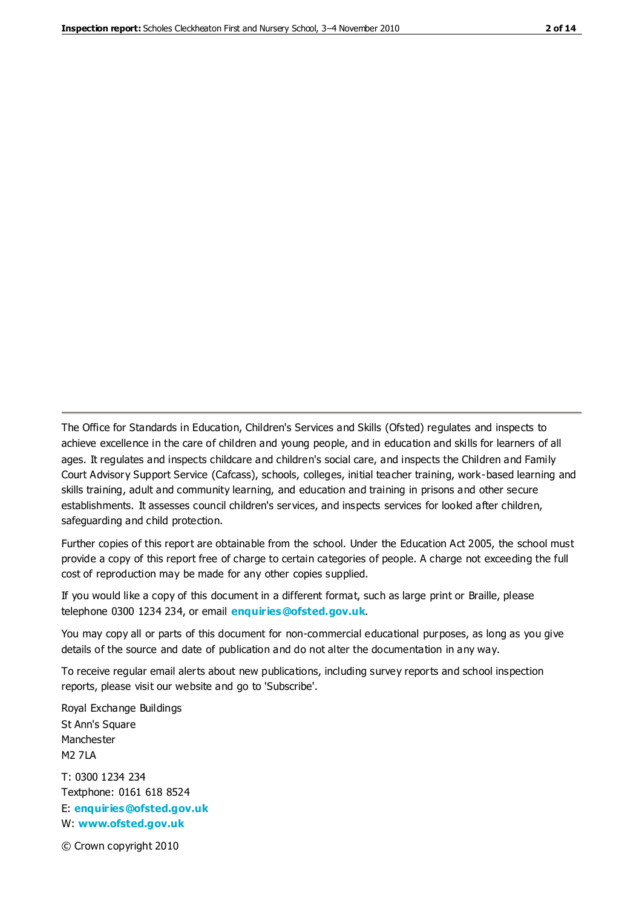The Office for Standards in Education, Children's Services and Skills (Ofsted) regulates and inspects to achieve excellence in the care of children and young people, and in education and skills for learners of all ages. It regulates and inspects childcare and children's social care, and inspects the Children and Family Court Advisory Support Service (Cafcass), schools, colleges, initial teacher training, work-based learning and skills training, adult and community learning, and education and training in prisons and other secure establishments. It assesses council children's services, and inspects services for looked after children, safeguarding and child protection.

Further copies of this report are obtainable from the school. Under the Education Act 2005, the school must provide a copy of this report free of charge to certain categories of people. A charge not exceeding the full cost of reproduction may be made for any other copies supplied.

If you would like a copy of this document in a different format, such as large print or Braille, please telephone 0300 1234 234, or email **[enquiries@ofsted.gov.uk](mailto:enquiries@ofsted.gov.uk)**.

You may copy all or parts of this document for non-commercial educational purposes, as long as you give details of the source and date of publication and do not alter the documentation in any way.

To receive regular email alerts about new publications, including survey reports and school inspection reports, please visit our website and go to 'Subscribe'.

Royal Exchange Buildings St Ann's Square Manchester M2 7LA T: 0300 1234 234 Textphone: 0161 618 8524 E: **[enquiries@ofsted.gov.uk](mailto:enquiries@ofsted.gov.uk)**

W: **[www.ofsted.gov.uk](http://www.ofsted.gov.uk/)**

© Crown copyright 2010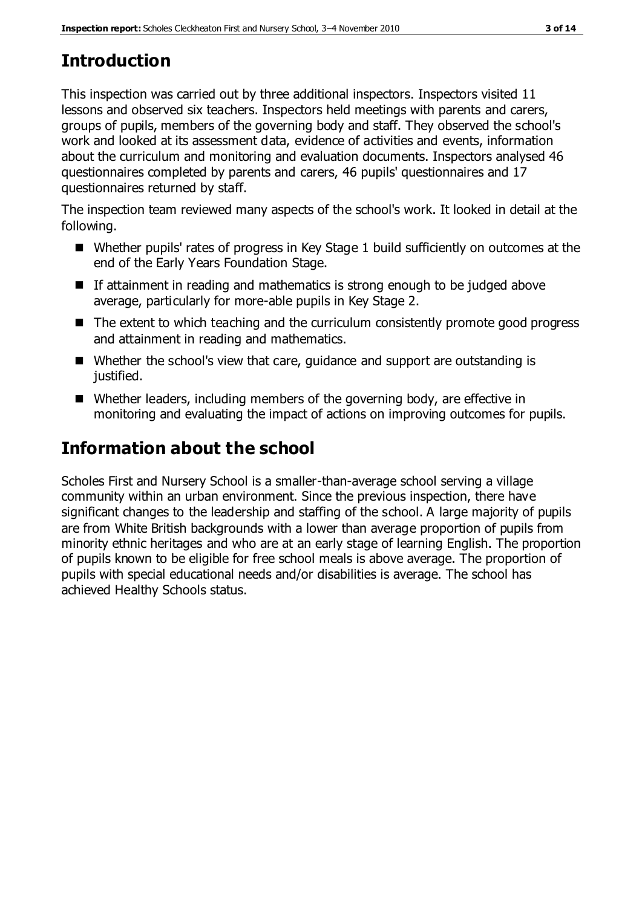# **Introduction**

This inspection was carried out by three additional inspectors. Inspectors visited 11 lessons and observed six teachers. Inspectors held meetings with parents and carers, groups of pupils, members of the governing body and staff. They observed the school's work and looked at its assessment data, evidence of activities and events, information about the curriculum and monitoring and evaluation documents. Inspectors analysed 46 questionnaires completed by parents and carers, 46 pupils' questionnaires and 17 questionnaires returned by staff.

The inspection team reviewed many aspects of the school's work. It looked in detail at the following.

- Whether pupils' rates of progress in Key Stage 1 build sufficiently on outcomes at the end of the Early Years Foundation Stage.
- $\blacksquare$  If attainment in reading and mathematics is strong enough to be judged above average, particularly for more-able pupils in Key Stage 2.
- The extent to which teaching and the curriculum consistently promote good progress and attainment in reading and mathematics.
- Whether the school's view that care, guidance and support are outstanding is justified.
- Whether leaders, including members of the governing body, are effective in monitoring and evaluating the impact of actions on improving outcomes for pupils.

# **Information about the school**

Scholes First and Nursery School is a smaller-than-average school serving a village community within an urban environment. Since the previous inspection, there have significant changes to the leadership and staffing of the school. A large majority of pupils are from White British backgrounds with a lower than average proportion of pupils from minority ethnic heritages and who are at an early stage of learning English. The proportion of pupils known to be eligible for free school meals is above average. The proportion of pupils with special educational needs and/or disabilities is average. The school has achieved Healthy Schools status.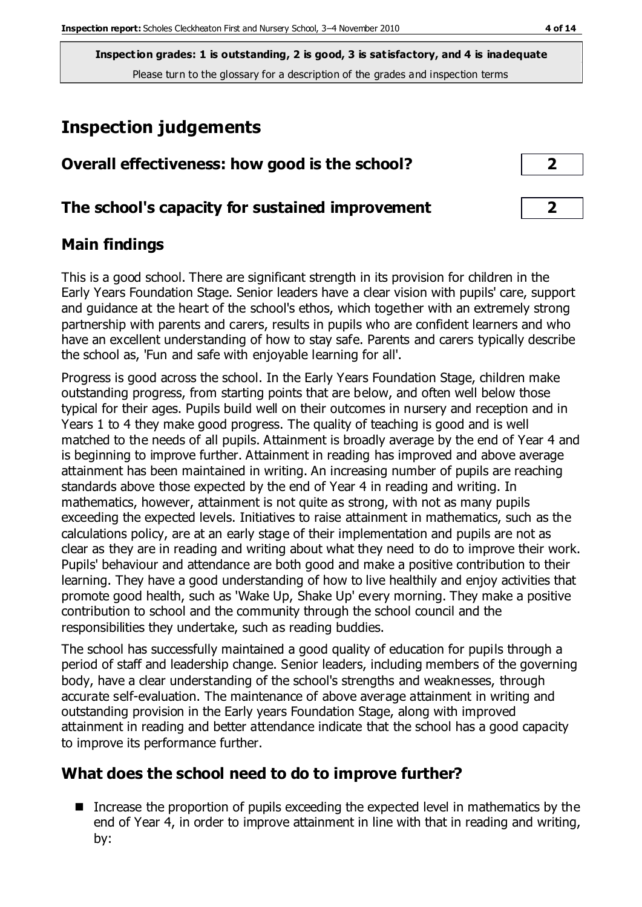**Inspection grades: 1 is outstanding, 2 is good, 3 is satisfactory, and 4 is inadequate** Please turn to the glossary for a description of the grades and inspection terms

## **Inspection judgements**

|  | Overall effectiveness: how good is the school? |  |  |  |  |
|--|------------------------------------------------|--|--|--|--|
|--|------------------------------------------------|--|--|--|--|

#### **The school's capacity for sustained improvement 2**

#### **Main findings**

This is a good school. There are significant strength in its provision for children in the Early Years Foundation Stage. Senior leaders have a clear vision with pupils' care, support and guidance at the heart of the school's ethos, which together with an extremely strong partnership with parents and carers, results in pupils who are confident learners and who have an excellent understanding of how to stay safe. Parents and carers typically describe the school as, 'Fun and safe with enjoyable learning for all'.

Progress is good across the school. In the Early Years Foundation Stage, children make outstanding progress, from starting points that are below, and often well below those typical for their ages. Pupils build well on their outcomes in nursery and reception and in Years 1 to 4 they make good progress. The quality of teaching is good and is well matched to the needs of all pupils. Attainment is broadly average by the end of Year 4 and is beginning to improve further. Attainment in reading has improved and above average attainment has been maintained in writing. An increasing number of pupils are reaching standards above those expected by the end of Year 4 in reading and writing. In mathematics, however, attainment is not quite as strong, with not as many pupils exceeding the expected levels. Initiatives to raise attainment in mathematics, such as the calculations policy, are at an early stage of their implementation and pupils are not as clear as they are in reading and writing about what they need to do to improve their work. Pupils' behaviour and attendance are both good and make a positive contribution to their learning. They have a good understanding of how to live healthily and enjoy activities that promote good health, such as 'Wake Up, Shake Up' every morning. They make a positive contribution to school and the community through the school council and the responsibilities they undertake, such as reading buddies.

The school has successfully maintained a good quality of education for pupils through a period of staff and leadership change. Senior leaders, including members of the governing body, have a clear understanding of the school's strengths and weaknesses, through accurate self-evaluation. The maintenance of above average attainment in writing and outstanding provision in the Early years Foundation Stage, along with improved attainment in reading and better attendance indicate that the school has a good capacity to improve its performance further.

## **What does the school need to do to improve further?**

Increase the proportion of pupils exceeding the expected level in mathematics by the end of Year 4, in order to improve attainment in line with that in reading and writing, by: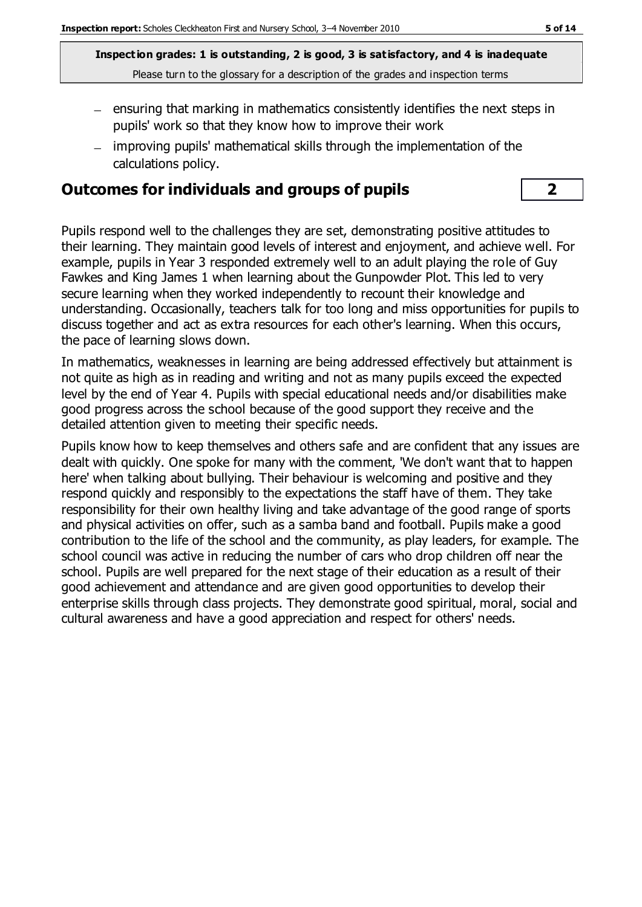**Inspection grades: 1 is outstanding, 2 is good, 3 is satisfactory, and 4 is inadequate** Please turn to the glossary for a description of the grades and inspection terms

- $-$  ensuring that marking in mathematics consistently identifies the next steps in pupils' work so that they know how to improve their work
- improving pupils' mathematical skills through the implementation of the calculations policy.

#### **Outcomes for individuals and groups of pupils 2**

Pupils respond well to the challenges they are set, demonstrating positive attitudes to their learning. They maintain good levels of interest and enjoyment, and achieve well. For example, pupils in Year 3 responded extremely well to an adult playing the role of Guy Fawkes and King James 1 when learning about the Gunpowder Plot. This led to very secure learning when they worked independently to recount their knowledge and understanding. Occasionally, teachers talk for too long and miss opportunities for pupils to discuss together and act as extra resources for each other's learning. When this occurs, the pace of learning slows down.

In mathematics, weaknesses in learning are being addressed effectively but attainment is not quite as high as in reading and writing and not as many pupils exceed the expected level by the end of Year 4. Pupils with special educational needs and/or disabilities make good progress across the school because of the good support they receive and the detailed attention given to meeting their specific needs.

Pupils know how to keep themselves and others safe and are confident that any issues are dealt with quickly. One spoke for many with the comment, 'We don't want that to happen here' when talking about bullying. Their behaviour is welcoming and positive and they respond quickly and responsibly to the expectations the staff have of them. They take responsibility for their own healthy living and take advantage of the good range of sports and physical activities on offer, such as a samba band and football. Pupils make a good contribution to the life of the school and the community, as play leaders, for example. The school council was active in reducing the number of cars who drop children off near the school. Pupils are well prepared for the next stage of their education as a result of their good achievement and attendance and are given good opportunities to develop their enterprise skills through class projects. They demonstrate good spiritual, moral, social and cultural awareness and have a good appreciation and respect for others' needs.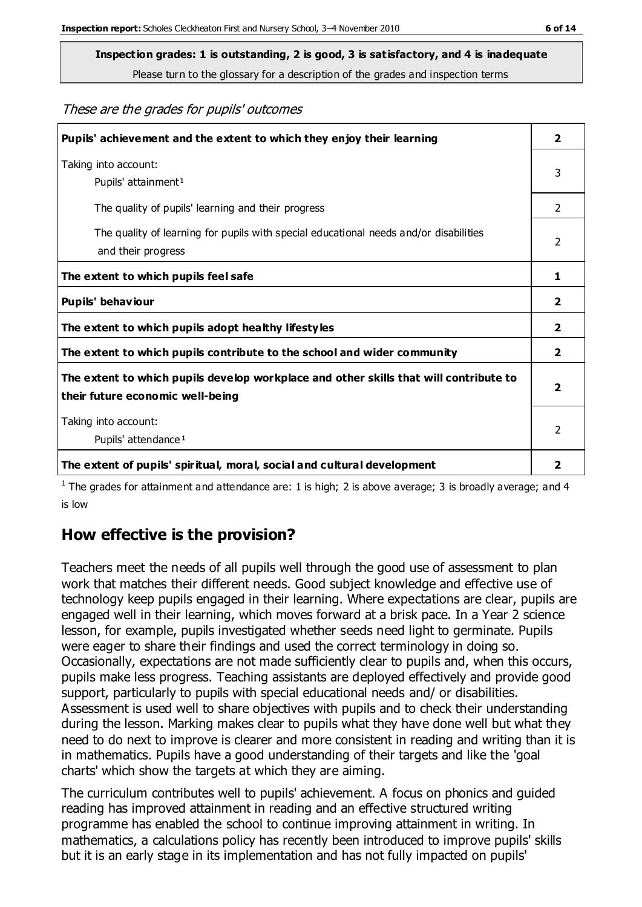**Inspection grades: 1 is outstanding, 2 is good, 3 is satisfactory, and 4 is inadequate**

Please turn to the glossary for a description of the grades and inspection terms

These are the grades for pupils' outcomes

| Pupils' achievement and the extent to which they enjoy their learning                                                     | $\overline{2}$ |
|---------------------------------------------------------------------------------------------------------------------------|----------------|
| Taking into account:<br>Pupils' attainment <sup>1</sup>                                                                   | 3              |
| The quality of pupils' learning and their progress                                                                        | $\mathcal{P}$  |
| The quality of learning for pupils with special educational needs and/or disabilities<br>and their progress               | $\overline{2}$ |
| The extent to which pupils feel safe                                                                                      | 1              |
| Pupils' behaviour                                                                                                         | 2              |
| The extent to which pupils adopt healthy lifestyles                                                                       | 2              |
| The extent to which pupils contribute to the school and wider community                                                   | $\overline{2}$ |
| The extent to which pupils develop workplace and other skills that will contribute to<br>their future economic well-being | $\overline{2}$ |
| Taking into account:<br>Pupils' attendance <sup>1</sup>                                                                   | $\mathcal{P}$  |
| The extent of pupils' spiritual, moral, social and cultural development                                                   | 2              |

<sup>1</sup> The grades for attainment and attendance are: 1 is high; 2 is above average; 3 is broadly average; and 4 is low

## **How effective is the provision?**

Teachers meet the needs of all pupils well through the good use of assessment to plan work that matches their different needs. Good subject knowledge and effective use of technology keep pupils engaged in their learning. Where expectations are clear, pupils are engaged well in their learning, which moves forward at a brisk pace. In a Year 2 science lesson, for example, pupils investigated whether seeds need light to germinate. Pupils were eager to share their findings and used the correct terminology in doing so. Occasionally, expectations are not made sufficiently clear to pupils and, when this occurs, pupils make less progress. Teaching assistants are deployed effectively and provide good support, particularly to pupils with special educational needs and/ or disabilities. Assessment is used well to share objectives with pupils and to check their understanding during the lesson. Marking makes clear to pupils what they have done well but what they need to do next to improve is clearer and more consistent in reading and writing than it is in mathematics. Pupils have a good understanding of their targets and like the 'goal charts' which show the targets at which they are aiming.

The curriculum contributes well to pupils' achievement. A focus on phonics and guided reading has improved attainment in reading and an effective structured writing programme has enabled the school to continue improving attainment in writing. In mathematics, a calculations policy has recently been introduced to improve pupils' skills but it is an early stage in its implementation and has not fully impacted on pupils'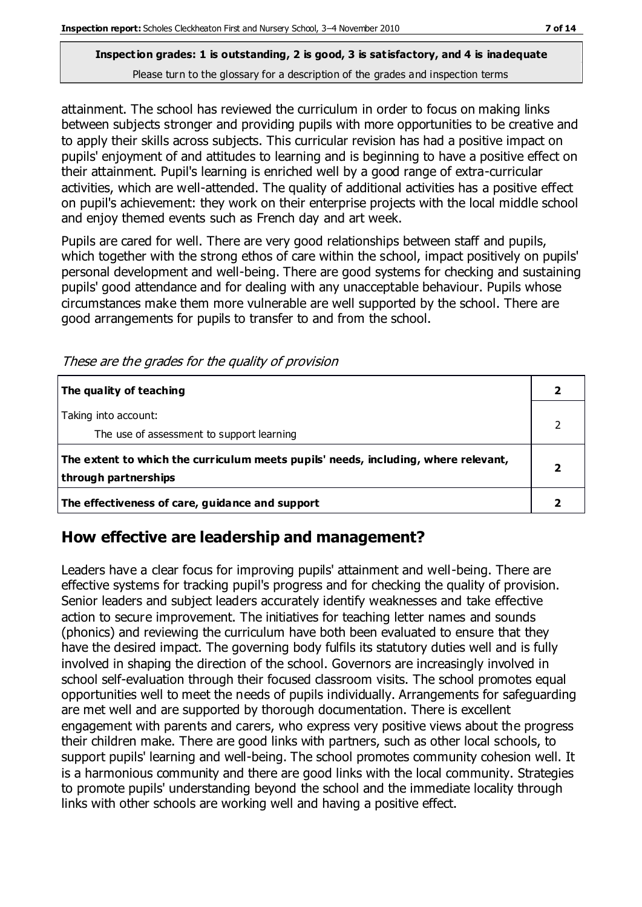#### **Inspection grades: 1 is outstanding, 2 is good, 3 is satisfactory, and 4 is inadequate** Please turn to the glossary for a description of the grades and inspection terms

attainment. The school has reviewed the curriculum in order to focus on making links between subjects stronger and providing pupils with more opportunities to be creative and to apply their skills across subjects. This curricular revision has had a positive impact on pupils' enjoyment of and attitudes to learning and is beginning to have a positive effect on their attainment. Pupil's learning is enriched well by a good range of extra-curricular activities, which are well-attended. The quality of additional activities has a positive effect on pupil's achievement: they work on their enterprise projects with the local middle school and enjoy themed events such as French day and art week.

Pupils are cared for well. There are very good relationships between staff and pupils, which together with the strong ethos of care within the school, impact positively on pupils' personal development and well-being. There are good systems for checking and sustaining pupils' good attendance and for dealing with any unacceptable behaviour. Pupils whose circumstances make them more vulnerable are well supported by the school. There are good arrangements for pupils to transfer to and from the school.

| The quality of teaching<br>Taking into account:                                    |  |
|------------------------------------------------------------------------------------|--|
|                                                                                    |  |
|                                                                                    |  |
| The use of assessment to support learning                                          |  |
| The extent to which the curriculum meets pupils' needs, including, where relevant, |  |
| through partnerships                                                               |  |
| The effectiveness of care, guidance and support                                    |  |

These are the grades for the quality of provision

## **How effective are leadership and management?**

Leaders have a clear focus for improving pupils' attainment and well-being. There are effective systems for tracking pupil's progress and for checking the quality of provision. Senior leaders and subject leaders accurately identify weaknesses and take effective action to secure improvement. The initiatives for teaching letter names and sounds (phonics) and reviewing the curriculum have both been evaluated to ensure that they have the desired impact. The governing body fulfils its statutory duties well and is fully involved in shaping the direction of the school. Governors are increasingly involved in school self-evaluation through their focused classroom visits. The school promotes equal opportunities well to meet the needs of pupils individually. Arrangements for safeguarding are met well and are supported by thorough documentation. There is excellent engagement with parents and carers, who express very positive views about the progress their children make. There are good links with partners, such as other local schools, to support pupils' learning and well-being. The school promotes community cohesion well. It is a harmonious community and there are good links with the local community. Strategies to promote pupils' understanding beyond the school and the immediate locality through links with other schools are working well and having a positive effect.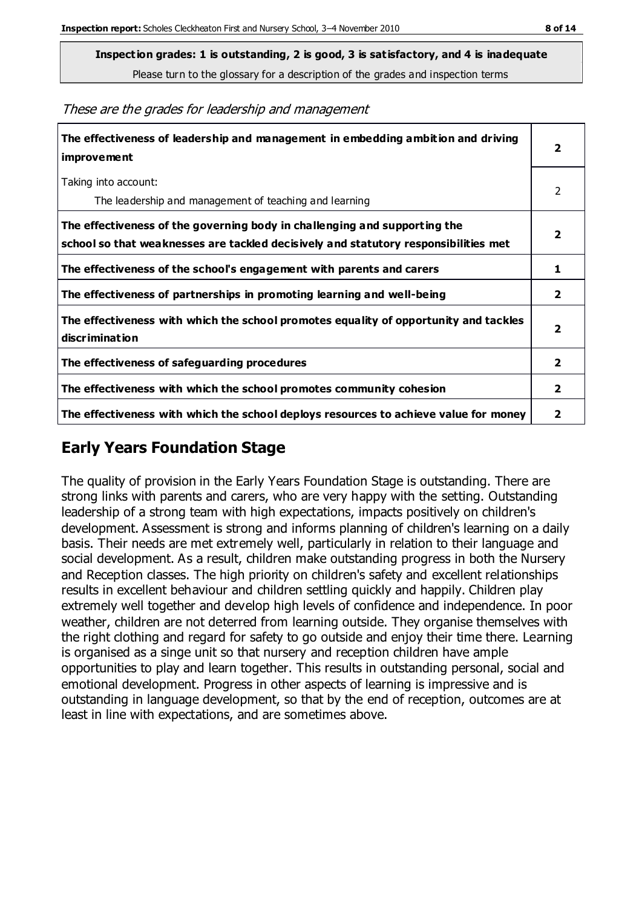Please turn to the glossary for a description of the grades and inspection terms

| The effectiveness of leadership and management in embedding ambition and driving<br>improvement                                                                  | $\overline{\mathbf{2}}$ |
|------------------------------------------------------------------------------------------------------------------------------------------------------------------|-------------------------|
| Taking into account:<br>The leadership and management of teaching and learning                                                                                   | 2                       |
| The effectiveness of the governing body in challenging and supporting the<br>school so that weaknesses are tackled decisively and statutory responsibilities met | $\overline{\mathbf{2}}$ |
| The effectiveness of the school's engagement with parents and carers                                                                                             | 1                       |
| The effectiveness of partnerships in promoting learning and well-being                                                                                           | $\overline{2}$          |
| The effectiveness with which the school promotes equality of opportunity and tackles<br>discrimination                                                           | $\overline{\mathbf{2}}$ |
| The effectiveness of safeguarding procedures                                                                                                                     | $\overline{2}$          |
| The effectiveness with which the school promotes community cohesion                                                                                              | $\mathbf{2}$            |
| The effectiveness with which the school deploys resources to achieve value for money                                                                             | 2                       |

### **Early Years Foundation Stage**

The quality of provision in the Early Years Foundation Stage is outstanding. There are strong links with parents and carers, who are very happy with the setting. Outstanding leadership of a strong team with high expectations, impacts positively on children's development. Assessment is strong and informs planning of children's learning on a daily basis. Their needs are met extremely well, particularly in relation to their language and social development. As a result, children make outstanding progress in both the Nursery and Reception classes. The high priority on children's safety and excellent relationships results in excellent behaviour and children settling quickly and happily. Children play extremely well together and develop high levels of confidence and independence. In poor weather, children are not deterred from learning outside. They organise themselves with the right clothing and regard for safety to go outside and enjoy their time there. Learning is organised as a singe unit so that nursery and reception children have ample opportunities to play and learn together. This results in outstanding personal, social and emotional development. Progress in other aspects of learning is impressive and is outstanding in language development, so that by the end of reception, outcomes are at least in line with expectations, and are sometimes above.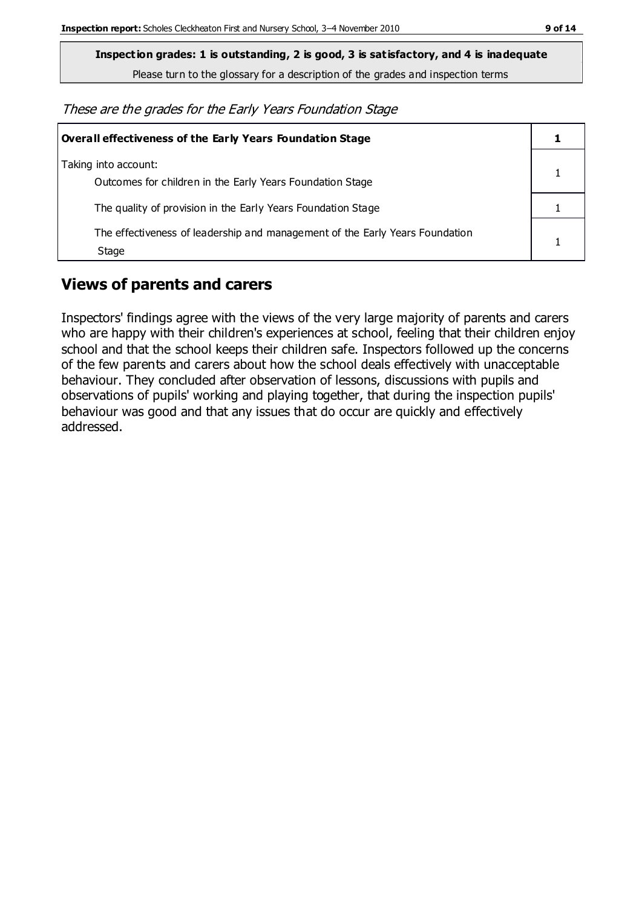**Inspection grades: 1 is outstanding, 2 is good, 3 is satisfactory, and 4 is inadequate**

Please turn to the glossary for a description of the grades and inspection terms

These are the grades for the Early Years Foundation Stage

| Overall effectiveness of the Early Years Foundation Stage                             |  |
|---------------------------------------------------------------------------------------|--|
| Taking into account:<br>Outcomes for children in the Early Years Foundation Stage     |  |
| The quality of provision in the Early Years Foundation Stage                          |  |
| The effectiveness of leadership and management of the Early Years Foundation<br>Stage |  |

## **Views of parents and carers**

Inspectors' findings agree with the views of the very large majority of parents and carers who are happy with their children's experiences at school, feeling that their children enjoy school and that the school keeps their children safe. Inspectors followed up the concerns of the few parents and carers about how the school deals effectively with unacceptable behaviour. They concluded after observation of lessons, discussions with pupils and observations of pupils' working and playing together, that during the inspection pupils' behaviour was good and that any issues that do occur are quickly and effectively addressed.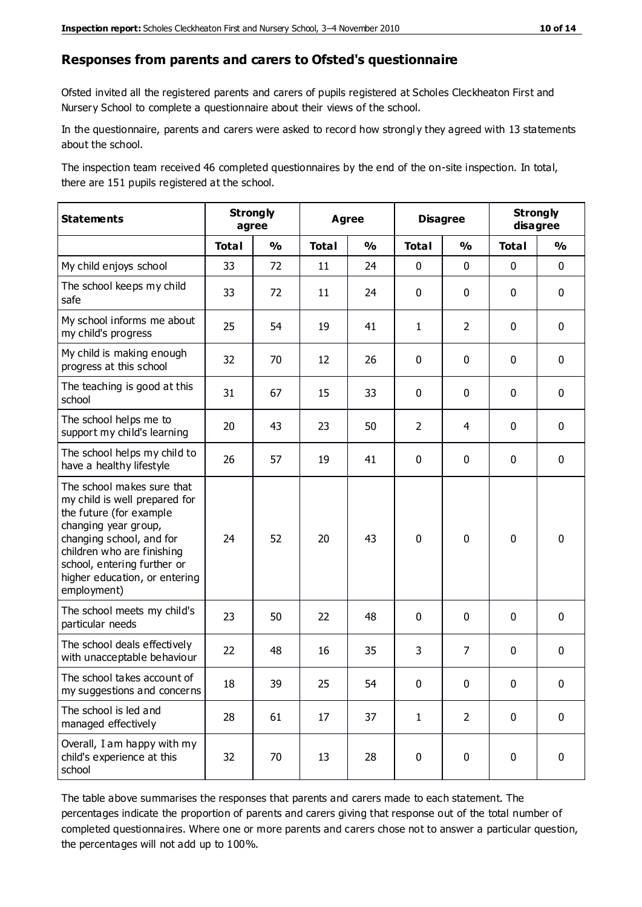#### **Responses from parents and carers to Ofsted's questionnaire**

Ofsted invited all the registered parents and carers of pupils registered at Scholes Cleckheaton First and Nursery School to complete a questionnaire about their views of the school.

In the questionnaire, parents and carers were asked to record how strongl y they agreed with 13 statements about the school.

The inspection team received 46 completed questionnaires by the end of the on-site inspection. In total, there are 151 pupils registered at the school.

| <b>Statements</b>                                                                                                                                                                                                                                       | <b>Strongly</b><br>agree |               | Agree        |               | <b>Disagree</b> |                | <b>Strongly</b><br>disagree |               |
|---------------------------------------------------------------------------------------------------------------------------------------------------------------------------------------------------------------------------------------------------------|--------------------------|---------------|--------------|---------------|-----------------|----------------|-----------------------------|---------------|
|                                                                                                                                                                                                                                                         | <b>Total</b>             | $\frac{1}{2}$ | <b>Total</b> | $\frac{1}{2}$ | <b>Total</b>    | $\frac{0}{0}$  | <b>Total</b>                | $\frac{0}{0}$ |
| My child enjoys school                                                                                                                                                                                                                                  | 33                       | 72            | 11           | 24            | 0               | $\mathbf 0$    | $\mathbf 0$                 | $\mathbf 0$   |
| The school keeps my child<br>safe                                                                                                                                                                                                                       | 33                       | 72            | 11           | 24            | 0               | $\mathbf 0$    | $\mathbf 0$                 | $\mathbf 0$   |
| My school informs me about<br>my child's progress                                                                                                                                                                                                       | 25                       | 54            | 19           | 41            | $\mathbf{1}$    | $\overline{2}$ | $\mathbf 0$                 | $\mathbf 0$   |
| My child is making enough<br>progress at this school                                                                                                                                                                                                    | 32                       | 70            | 12           | 26            | 0               | $\mathbf 0$    | $\mathbf 0$                 | $\mathbf 0$   |
| The teaching is good at this<br>school                                                                                                                                                                                                                  | 31                       | 67            | 15           | 33            | 0               | 0              | 0                           | $\mathbf 0$   |
| The school helps me to<br>support my child's learning                                                                                                                                                                                                   | 20                       | 43            | 23           | 50            | $\overline{2}$  | 4              | $\mathbf 0$                 | $\mathbf 0$   |
| The school helps my child to<br>have a healthy lifestyle                                                                                                                                                                                                | 26                       | 57            | 19           | 41            | 0               | $\mathbf 0$    | $\mathbf 0$                 | $\mathbf 0$   |
| The school makes sure that<br>my child is well prepared for<br>the future (for example<br>changing year group,<br>changing school, and for<br>children who are finishing<br>school, entering further or<br>higher education, or entering<br>employment) | 24                       | 52            | 20           | 43            | $\mathbf 0$     | $\mathbf 0$    | $\mathbf 0$                 | $\mathbf 0$   |
| The school meets my child's<br>particular needs                                                                                                                                                                                                         | 23                       | 50            | 22           | 48            | 0               | $\mathbf 0$    | $\mathbf 0$                 | $\mathbf 0$   |
| The school deals effectively<br>with unacceptable behaviour                                                                                                                                                                                             | 22                       | 48            | 16           | 35            | 3               | $\overline{7}$ | $\mathbf 0$                 | $\mathbf 0$   |
| The school takes account of<br>my suggestions and concerns                                                                                                                                                                                              | 18                       | 39            | 25           | 54            | $\mathbf{0}$    | $\mathbf{0}$   | $\mathbf 0$                 | $\mathbf{0}$  |
| The school is led and<br>managed effectively                                                                                                                                                                                                            | 28                       | 61            | 17           | 37            | $\mathbf{1}$    | $\overline{2}$ | $\mathbf 0$                 | $\mathbf 0$   |
| Overall, I am happy with my<br>child's experience at this<br>school                                                                                                                                                                                     | 32                       | 70            | 13           | 28            | $\pmb{0}$       | $\mathbf 0$    | $\mathbf 0$                 | $\pmb{0}$     |

The table above summarises the responses that parents and carers made to each statement. The percentages indicate the proportion of parents and carers giving that response out of the total number of completed questionnaires. Where one or more parents and carers chose not to answer a particular question, the percentages will not add up to 100%.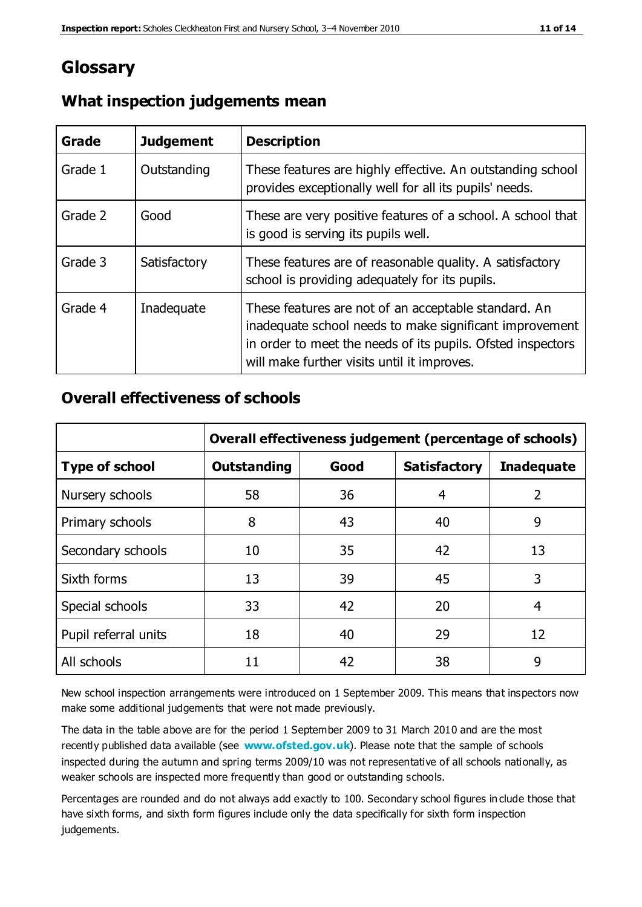## **Glossary**

| Grade   | <b>Judgement</b> | <b>Description</b>                                                                                                                                                                                                            |
|---------|------------------|-------------------------------------------------------------------------------------------------------------------------------------------------------------------------------------------------------------------------------|
| Grade 1 | Outstanding      | These features are highly effective. An outstanding school<br>provides exceptionally well for all its pupils' needs.                                                                                                          |
| Grade 2 | Good             | These are very positive features of a school. A school that<br>is good is serving its pupils well.                                                                                                                            |
| Grade 3 | Satisfactory     | These features are of reasonable quality. A satisfactory<br>school is providing adequately for its pupils.                                                                                                                    |
| Grade 4 | Inadequate       | These features are not of an acceptable standard. An<br>inadequate school needs to make significant improvement<br>in order to meet the needs of its pupils. Ofsted inspectors<br>will make further visits until it improves. |

#### **What inspection judgements mean**

#### **Overall effectiveness of schools**

|                       | Overall effectiveness judgement (percentage of schools) |      |                     |                   |
|-----------------------|---------------------------------------------------------|------|---------------------|-------------------|
| <b>Type of school</b> | <b>Outstanding</b>                                      | Good | <b>Satisfactory</b> | <b>Inadequate</b> |
| Nursery schools       | 58                                                      | 36   | 4                   | 2                 |
| Primary schools       | 8                                                       | 43   | 40                  | 9                 |
| Secondary schools     | 10                                                      | 35   | 42                  | 13                |
| Sixth forms           | 13                                                      | 39   | 45                  | 3                 |
| Special schools       | 33                                                      | 42   | 20                  | 4                 |
| Pupil referral units  | 18                                                      | 40   | 29                  | 12                |
| All schools           | 11                                                      | 42   | 38                  | 9                 |

New school inspection arrangements were introduced on 1 September 2009. This means that inspectors now make some additional judgements that were not made previously.

The data in the table above are for the period 1 September 2009 to 31 March 2010 and are the most recently published data available (see **[www.ofsted.gov.uk](http://www.ofsted.gov.uk/)**). Please note that the sample of schools inspected during the autumn and spring terms 2009/10 was not representative of all schools nationally, as weaker schools are inspected more frequently than good or outstanding schools.

Percentages are rounded and do not always add exactly to 100. Secondary school figures in clude those that have sixth forms, and sixth form figures include only the data specifically for sixth form inspection judgements.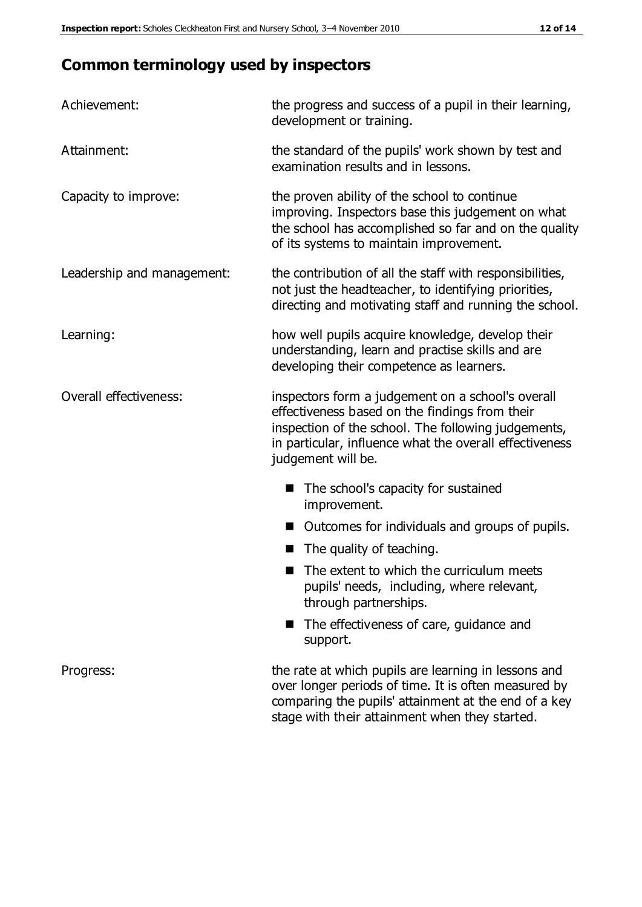## **Common terminology used by inspectors**

| Achievement:               | the progress and success of a pupil in their learning,<br>development or training.                                                                                                                                                          |  |  |
|----------------------------|---------------------------------------------------------------------------------------------------------------------------------------------------------------------------------------------------------------------------------------------|--|--|
| Attainment:                | the standard of the pupils' work shown by test and<br>examination results and in lessons.                                                                                                                                                   |  |  |
| Capacity to improve:       | the proven ability of the school to continue<br>improving. Inspectors base this judgement on what<br>the school has accomplished so far and on the quality<br>of its systems to maintain improvement.                                       |  |  |
| Leadership and management: | the contribution of all the staff with responsibilities,<br>not just the headteacher, to identifying priorities,<br>directing and motivating staff and running the school.                                                                  |  |  |
| Learning:                  | how well pupils acquire knowledge, develop their<br>understanding, learn and practise skills and are<br>developing their competence as learners.                                                                                            |  |  |
| Overall effectiveness:     | inspectors form a judgement on a school's overall<br>effectiveness based on the findings from their<br>inspection of the school. The following judgements,<br>in particular, influence what the overall effectiveness<br>judgement will be. |  |  |
|                            | The school's capacity for sustained<br>improvement.                                                                                                                                                                                         |  |  |
|                            | Outcomes for individuals and groups of pupils.                                                                                                                                                                                              |  |  |
|                            | The quality of teaching.                                                                                                                                                                                                                    |  |  |
|                            | The extent to which the curriculum meets<br>pupils' needs, including, where relevant,<br>through partnerships.                                                                                                                              |  |  |
|                            | The effectiveness of care, guidance and<br>support.                                                                                                                                                                                         |  |  |
| Progress:                  | the rate at which pupils are learning in lessons and<br>over longer periods of time. It is often measured by<br>comparing the pupils' attainment at the end of a key                                                                        |  |  |

stage with their attainment when they started.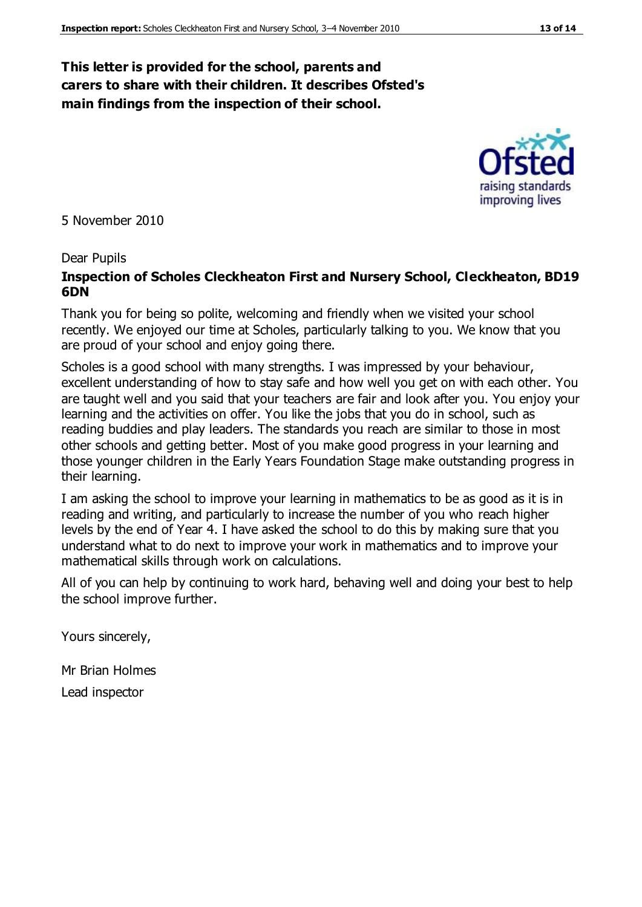#### **This letter is provided for the school, parents and carers to share with their children. It describes Ofsted's main findings from the inspection of their school.**

5 November 2010

#### Dear Pupils

#### **Inspection of Scholes Cleckheaton First and Nursery School, Cleckheaton, BD19 6DN**

Thank you for being so polite, welcoming and friendly when we visited your school recently. We enjoyed our time at Scholes, particularly talking to you. We know that you are proud of your school and enjoy going there.

Scholes is a good school with many strengths. I was impressed by your behaviour, excellent understanding of how to stay safe and how well you get on with each other. You are taught well and you said that your teachers are fair and look after you. You enjoy your learning and the activities on offer. You like the jobs that you do in school, such as reading buddies and play leaders. The standards you reach are similar to those in most other schools and getting better. Most of you make good progress in your learning and those younger children in the Early Years Foundation Stage make outstanding progress in their learning.

I am asking the school to improve your learning in mathematics to be as good as it is in reading and writing, and particularly to increase the number of you who reach higher levels by the end of Year 4. I have asked the school to do this by making sure that you understand what to do next to improve your work in mathematics and to improve your mathematical skills through work on calculations.

All of you can help by continuing to work hard, behaving well and doing your best to help the school improve further.

Yours sincerely,

Mr Brian Holmes Lead inspector